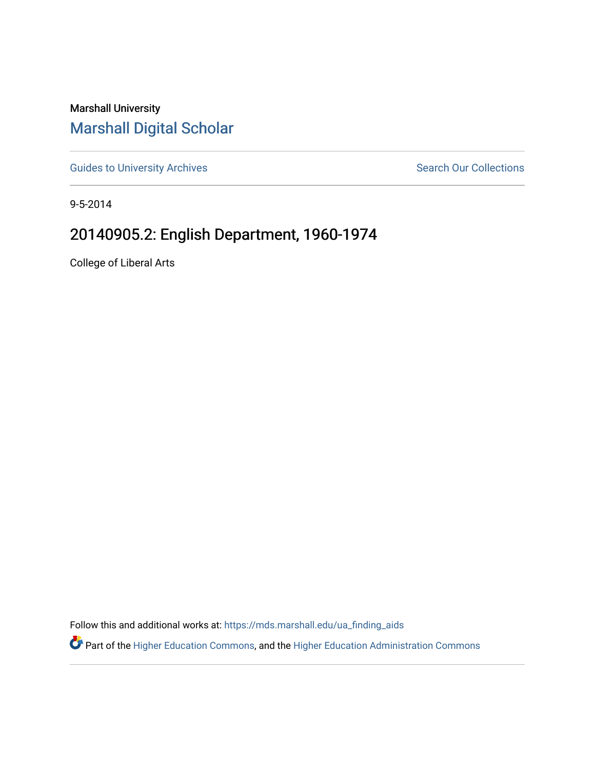## Marshall University [Marshall Digital Scholar](https://mds.marshall.edu/)

[Guides to University Archives](https://mds.marshall.edu/ua_finding_aids) **Search Our Collections** Search Our Collections

9-5-2014

## 20140905.2: English Department, 1960-1974

College of Liberal Arts

Follow this and additional works at: [https://mds.marshall.edu/ua\\_finding\\_aids](https://mds.marshall.edu/ua_finding_aids?utm_source=mds.marshall.edu%2Fua_finding_aids%2F49&utm_medium=PDF&utm_campaign=PDFCoverPages) 

Part of the [Higher Education Commons,](http://network.bepress.com/hgg/discipline/1245?utm_source=mds.marshall.edu%2Fua_finding_aids%2F49&utm_medium=PDF&utm_campaign=PDFCoverPages) and the [Higher Education Administration Commons](http://network.bepress.com/hgg/discipline/791?utm_source=mds.marshall.edu%2Fua_finding_aids%2F49&utm_medium=PDF&utm_campaign=PDFCoverPages)